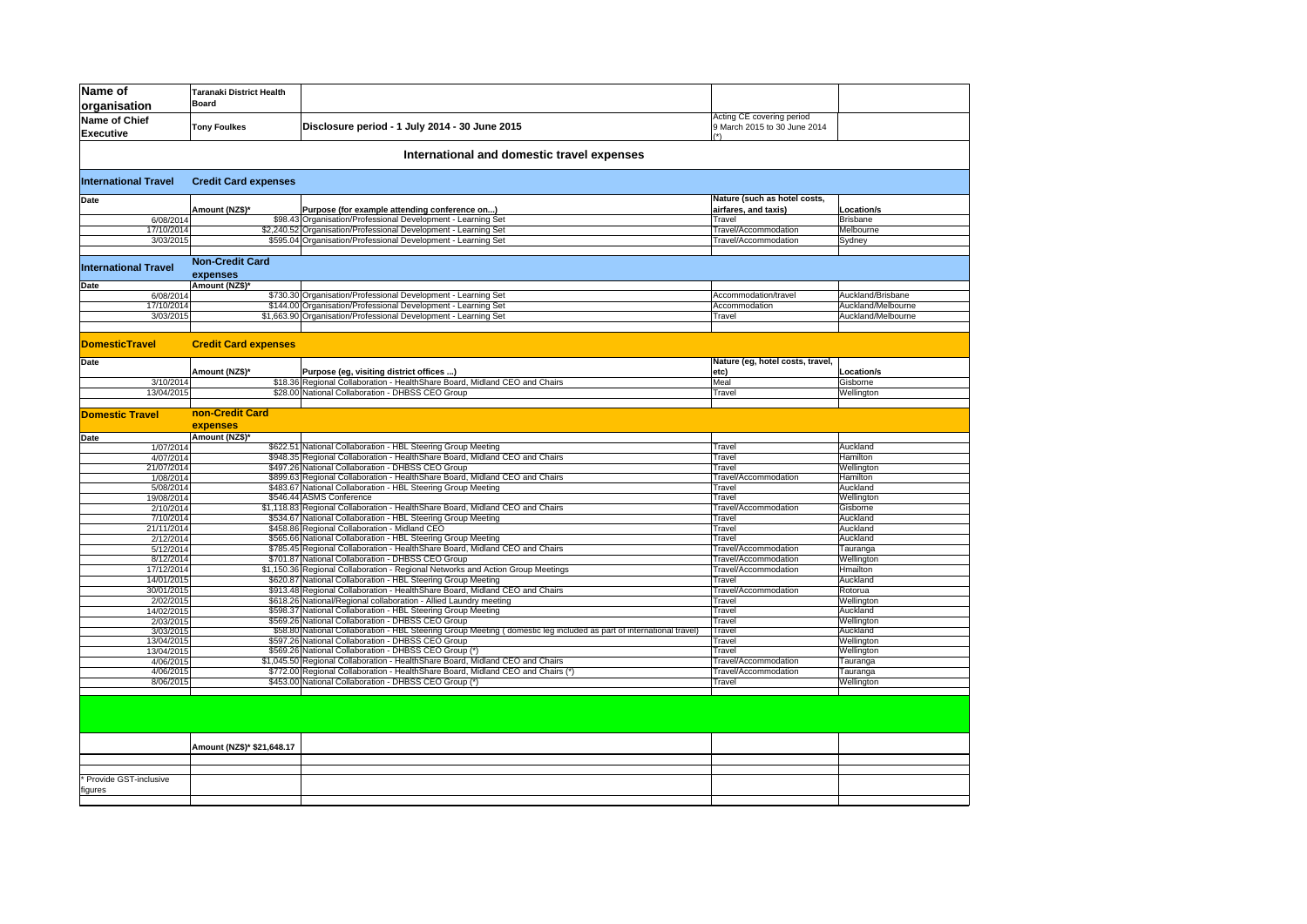| Name of<br>organisation                    | Taranaki District Health<br><b>Board</b> |                                                                                                                                                 |                                                           |                     |  |  |
|--------------------------------------------|------------------------------------------|-------------------------------------------------------------------------------------------------------------------------------------------------|-----------------------------------------------------------|---------------------|--|--|
| <b>Name of Chief</b><br><b>Executive</b>   | <b>Tony Foulkes</b>                      | Disclosure period - 1 July 2014 - 30 June 2015                                                                                                  | Acting CE covering period<br>9 March 2015 to 30 June 2014 |                     |  |  |
| International and domestic travel expenses |                                          |                                                                                                                                                 |                                                           |                     |  |  |
| <b>International Travel</b>                | <b>Credit Card expenses</b>              |                                                                                                                                                 |                                                           |                     |  |  |
| Date                                       |                                          |                                                                                                                                                 | Nature (such as hotel costs,                              |                     |  |  |
|                                            | Amount (NZ\$)*                           | Purpose (for example attending conference on)                                                                                                   | airfares, and taxis)                                      | Location/s          |  |  |
| 6/08/2014                                  |                                          | \$98.43 Organisation/Professional Development - Learning Set                                                                                    | Travel                                                    | <b>Brisbane</b>     |  |  |
| 17/10/2014<br>3/03/2015                    |                                          | \$2,240.52 Organisation/Professional Development - Learning Set<br>\$595.04 Organisation/Professional Development - Learning Set                | Travel/Accommodation<br>Travel/Accommodation              | Melbourne<br>Sydney |  |  |
|                                            |                                          |                                                                                                                                                 |                                                           |                     |  |  |
|                                            | <b>Non-Credit Card</b>                   |                                                                                                                                                 |                                                           |                     |  |  |
| <b>International Travel</b>                | expenses                                 |                                                                                                                                                 |                                                           |                     |  |  |
| Date                                       | Amount (NZ\$)*                           |                                                                                                                                                 |                                                           |                     |  |  |
| 6/08/2014                                  |                                          | \$730.30 Organisation/Professional Development - Learning Set                                                                                   | Accommodation/travel                                      | Auckland/Brisbane   |  |  |
| 17/10/2014                                 |                                          | \$144.00 Organisation/Professional Development - Learning Set                                                                                   | Accommodation                                             | Auckland/Melbourne  |  |  |
| 3/03/2015                                  |                                          | \$1,663.90 Organisation/Professional Development - Learning Set                                                                                 | Travel                                                    | Auckland/Melbourne  |  |  |
|                                            |                                          |                                                                                                                                                 |                                                           |                     |  |  |
| <b>DomesticTravel</b>                      | <b>Credit Card expenses</b>              |                                                                                                                                                 |                                                           |                     |  |  |
| Date                                       |                                          |                                                                                                                                                 | Nature (eg, hotel costs, travel,                          |                     |  |  |
|                                            | Amount (NZ\$)*                           | Purpose (eg, visiting district offices )                                                                                                        | etc)                                                      | Location/s          |  |  |
| 3/10/2014                                  |                                          | \$18.36 Regional Collaboration - HealthShare Board, Midland CEO and Chairs                                                                      | Meal                                                      | Gisborne            |  |  |
| 13/04/2015                                 |                                          | \$28.00 National Collaboration - DHBSS CEO Group                                                                                                | Travel                                                    | Wellington          |  |  |
| <b>Domestic Travel</b>                     | non-Credit Card                          |                                                                                                                                                 |                                                           |                     |  |  |
|                                            | expenses                                 |                                                                                                                                                 |                                                           |                     |  |  |
| Date                                       | Amount (NZ\$)*                           | \$622.51 National Collaboration - HBL Steering Group Meeting                                                                                    | Travel                                                    | Auckland            |  |  |
| 1/07/2014<br>4/07/2014                     |                                          | \$948.35 Regional Collaboration - HealthShare Board, Midland CEO and Chairs                                                                     | Travel                                                    | Hamilton            |  |  |
| 21/07/2014                                 |                                          | \$497.26 National Collaboration - DHBSS CEO Group                                                                                               | Travel                                                    | Wellington          |  |  |
| 1/08/2014                                  |                                          | \$899.63 Regional Collaboration - HealthShare Board, Midland CEO and Chairs                                                                     | Travel/Accommodation                                      | Hamilton            |  |  |
| 5/08/2014                                  |                                          | \$483.67 National Collaboration - HBL Steering Group Meeting                                                                                    | Travel                                                    | Auckland            |  |  |
| 19/08/2014                                 |                                          | \$546.44 ASMS Conference                                                                                                                        | Travel                                                    | Wellington          |  |  |
| 2/10/2014                                  |                                          | \$1,118.83 Regional Collaboration - HealthShare Board, Midland CEO and Chairs                                                                   | Travel/Accommodation                                      | Gisborne            |  |  |
| 7/10/2014                                  |                                          | \$534.67 National Collaboration - HBL Steering Group Meeting                                                                                    | Travel                                                    | Auckland            |  |  |
| 21/11/2014                                 |                                          | \$458.86 Regional Collaboration - Midland CEO                                                                                                   | Travel                                                    | Auckland            |  |  |
| 2/12/2014                                  |                                          | \$565.66 National Collaboration - HBL Steering Group Meeting                                                                                    | Travel                                                    | Auckland            |  |  |
| 5/12/2014                                  |                                          | \$785.45 Regional Collaboration - HealthShare Board, Midland CEO and Chairs                                                                     | Travel/Accommodation                                      | Tauranga            |  |  |
| 8/12/2014                                  |                                          | \$701.87 National Collaboration - DHBSS CEO Group                                                                                               | Travel/Accommodation                                      | Wellington          |  |  |
| 17/12/2014                                 |                                          | \$1,150.36 Regional Collaboration - Regional Networks and Action Group Meetings<br>\$620.87 National Collaboration - HBL Steering Group Meeting | Travel/Accommodation<br>Travel                            | Hmailton            |  |  |
| 14/01/2015<br>30/01/2015                   |                                          | \$913.48 Regional Collaboration - HealthShare Board, Midland CEO and Chairs                                                                     | Travel/Accommodation                                      | Auckland<br>Rotorua |  |  |
| 2/02/2015                                  |                                          | \$618.26 National/Regional collaboration - Allied Laundry meeting                                                                               | Travel                                                    | Wellington          |  |  |
| 14/02/2015                                 |                                          | \$598.37 National Collaboration - HBL Steering Group Meeting                                                                                    | Travel                                                    | Auckland            |  |  |
| 2/03/2015                                  |                                          | \$569.26 National Collaboration - DHBSS CEO Group                                                                                               | Travel                                                    | Wellington          |  |  |
| 3/03/2015                                  |                                          | \$58.80 National Collaboration - HBL Steering Group Meeting (domestic leg included as part of international travel)                             | Travel                                                    | Auckland            |  |  |
| 13/04/2015                                 |                                          | \$597.26 National Collaboration - DHBSS CEO Group                                                                                               | Travel                                                    | Wellington          |  |  |
| 13/04/2015                                 |                                          | \$569.26 National Collaboration - DHBSS CEO Group (*)                                                                                           | Travel                                                    | Wellington          |  |  |
| 4/06/2015                                  |                                          | \$1,045.50 Regional Collaboration - HealthShare Board, Midland CEO and Chairs                                                                   | Travel/Accommodation                                      | Tauranga            |  |  |
| 4/06/2015                                  |                                          | \$772.00 Regional Collaboration - HealthShare Board, Midland CEO and Chairs (*)<br>\$453.00 National Collaboration - DHBSS CEO Group (*)        | Travel/Accommodation<br>Travel                            | Tauranga            |  |  |
| 8/06/2015                                  |                                          |                                                                                                                                                 |                                                           | Wellington          |  |  |
|                                            |                                          |                                                                                                                                                 |                                                           |                     |  |  |
|                                            | Amount (NZ\$)* \$21,648.17               |                                                                                                                                                 |                                                           |                     |  |  |
|                                            |                                          |                                                                                                                                                 |                                                           |                     |  |  |
|                                            |                                          |                                                                                                                                                 |                                                           |                     |  |  |
| Provide GST-inclusive<br>figures           |                                          |                                                                                                                                                 |                                                           |                     |  |  |
|                                            |                                          |                                                                                                                                                 |                                                           |                     |  |  |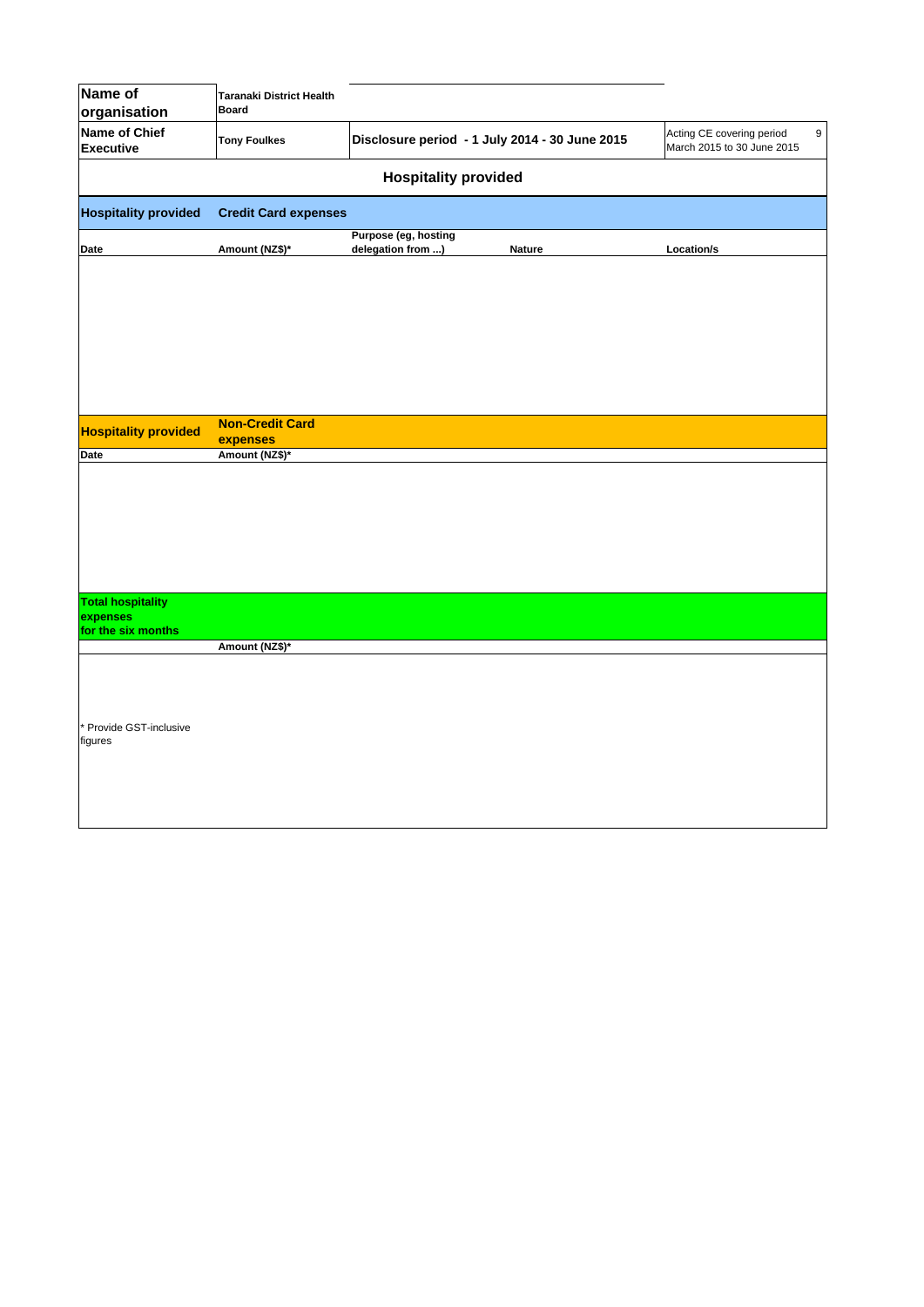| Name of<br>organisation                  | Taranaki District Health<br><b>Board</b> |                                           |                                                |                                                              |  |  |
|------------------------------------------|------------------------------------------|-------------------------------------------|------------------------------------------------|--------------------------------------------------------------|--|--|
| <b>Name of Chief</b><br><b>Executive</b> | <b>Tony Foulkes</b>                      |                                           | Disclosure period - 1 July 2014 - 30 June 2015 | 9<br>Acting CE covering period<br>March 2015 to 30 June 2015 |  |  |
| <b>Hospitality provided</b>              |                                          |                                           |                                                |                                                              |  |  |
| <b>Hospitality provided</b>              | <b>Credit Card expenses</b>              |                                           |                                                |                                                              |  |  |
| Date                                     | Amount (NZ\$)*                           | Purpose (eg, hosting<br>delegation from ) | <b>Nature</b>                                  | Location/s                                                   |  |  |
|                                          |                                          |                                           |                                                |                                                              |  |  |
|                                          |                                          |                                           |                                                |                                                              |  |  |
|                                          |                                          |                                           |                                                |                                                              |  |  |
|                                          |                                          |                                           |                                                |                                                              |  |  |
|                                          | <b>Non-Credit Card</b>                   |                                           |                                                |                                                              |  |  |
| <b>Hospitality provided</b>              | expenses                                 |                                           |                                                |                                                              |  |  |
| Date                                     | Amount (NZ\$)*                           |                                           |                                                |                                                              |  |  |
|                                          |                                          |                                           |                                                |                                                              |  |  |
| <b>Total hospitality</b><br>expenses     |                                          |                                           |                                                |                                                              |  |  |
| for the six months                       |                                          |                                           |                                                |                                                              |  |  |
|                                          | Amount (NZ\$)*                           |                                           |                                                |                                                              |  |  |
|                                          |                                          |                                           |                                                |                                                              |  |  |
| Provide GST-inclusive<br>figures         |                                          |                                           |                                                |                                                              |  |  |
|                                          |                                          |                                           |                                                |                                                              |  |  |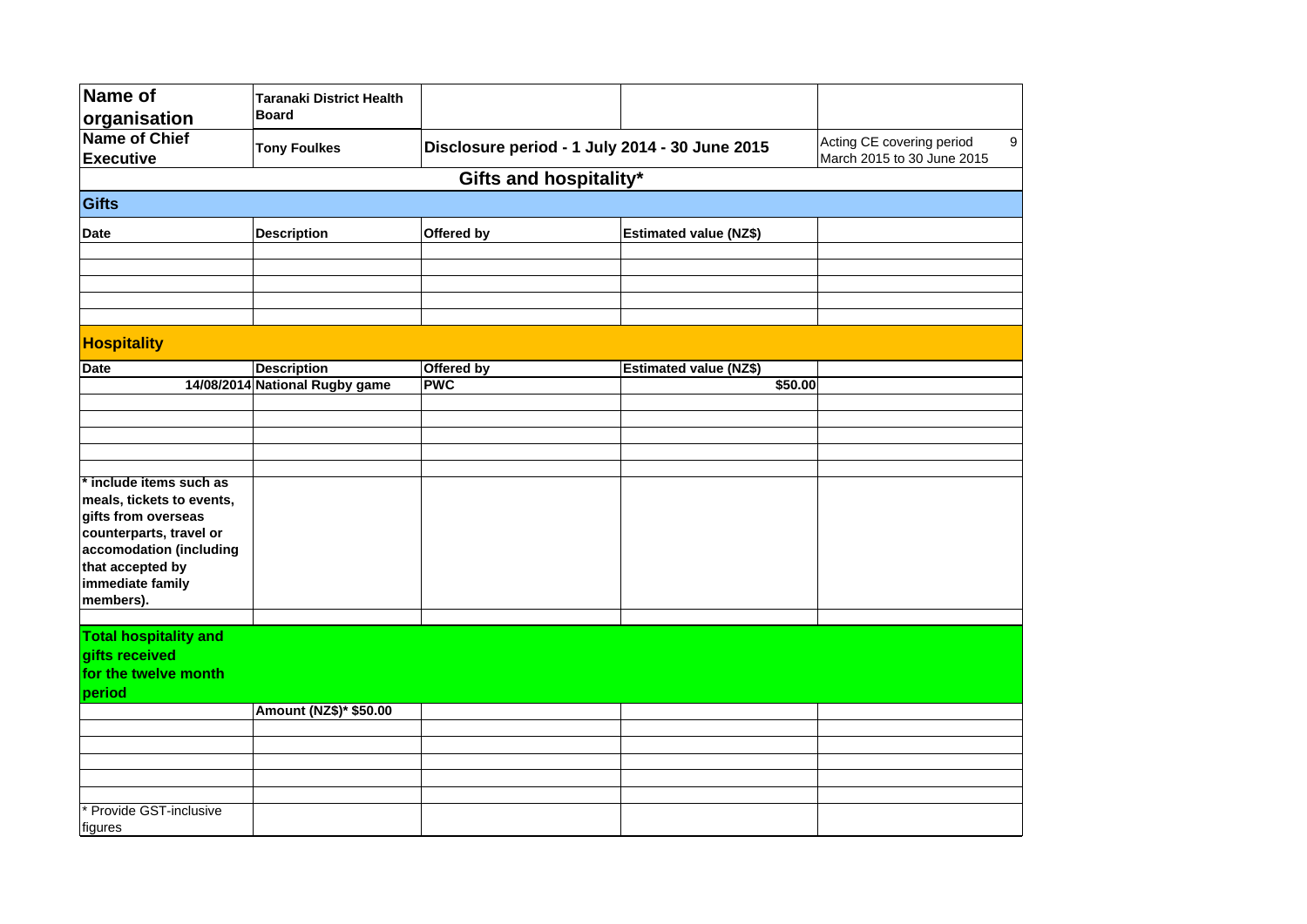| Name of                           | <b>Taranaki District Health</b> |                                                |                               |                                                         |   |
|-----------------------------------|---------------------------------|------------------------------------------------|-------------------------------|---------------------------------------------------------|---|
| organisation                      | <b>Board</b>                    |                                                |                               |                                                         |   |
| Name of Chief<br><b>Executive</b> | <b>Tony Foulkes</b>             | Disclosure period - 1 July 2014 - 30 June 2015 |                               | Acting CE covering period<br>March 2015 to 30 June 2015 | 9 |
|                                   |                                 | Gifts and hospitality*                         |                               |                                                         |   |
|                                   |                                 |                                                |                               |                                                         |   |
| Gifts                             |                                 |                                                |                               |                                                         |   |
| <b>Date</b>                       | <b>Description</b>              | Offered by                                     | <b>Estimated value (NZ\$)</b> |                                                         |   |
|                                   |                                 |                                                |                               |                                                         |   |
|                                   |                                 |                                                |                               |                                                         |   |
|                                   |                                 |                                                |                               |                                                         |   |
|                                   |                                 |                                                |                               |                                                         |   |
|                                   |                                 |                                                |                               |                                                         |   |
| <b>Hospitality</b>                |                                 |                                                |                               |                                                         |   |
| <b>Date</b>                       | <b>Description</b>              | Offered by                                     | <b>Estimated value (NZ\$)</b> |                                                         |   |
|                                   | 14/08/2014 National Rugby game  | <b>PWC</b>                                     | \$50.00                       |                                                         |   |
|                                   |                                 |                                                |                               |                                                         |   |
|                                   |                                 |                                                |                               |                                                         |   |
|                                   |                                 |                                                |                               |                                                         |   |
|                                   |                                 |                                                |                               |                                                         |   |
| * include items such as           |                                 |                                                |                               |                                                         |   |
| meals, tickets to events,         |                                 |                                                |                               |                                                         |   |
| gifts from overseas               |                                 |                                                |                               |                                                         |   |
| counterparts, travel or           |                                 |                                                |                               |                                                         |   |
| accomodation (including           |                                 |                                                |                               |                                                         |   |
| that accepted by                  |                                 |                                                |                               |                                                         |   |
| immediate family<br>members).     |                                 |                                                |                               |                                                         |   |
|                                   |                                 |                                                |                               |                                                         |   |
| <b>Total hospitality and</b>      |                                 |                                                |                               |                                                         |   |
| gifts received                    |                                 |                                                |                               |                                                         |   |
| for the twelve month              |                                 |                                                |                               |                                                         |   |
| period                            |                                 |                                                |                               |                                                         |   |
|                                   | Amount (NZ\$)* \$50.00          |                                                |                               |                                                         |   |
|                                   |                                 |                                                |                               |                                                         |   |
|                                   |                                 |                                                |                               |                                                         |   |
|                                   |                                 |                                                |                               |                                                         |   |
|                                   |                                 |                                                |                               |                                                         |   |
|                                   |                                 |                                                |                               |                                                         |   |
| Provide GST-inclusive             |                                 |                                                |                               |                                                         |   |
| figures                           |                                 |                                                |                               |                                                         |   |